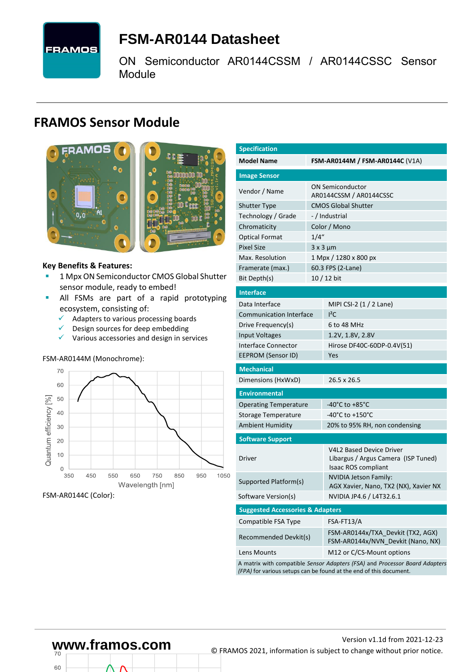

# <span id="page-0-7"></span>**FSM-AR0144 [Datasheet](#page-0-0)**

<span id="page-0-3"></span>[ON Semiconductor](#page-0-1) [AR0144CSSM / AR0144CSSC](#page-0-2) Sensor Module

## **FRAMOS Sensor Module**



#### **Key Benefits & Features:**

- [1](#page-0-4) Mp[x ON Semiconductor](#page-0-1) [CMOS Global Shutter](#page-0-5) sensor module, ready to embed!
- **.** All FSMs are part of a rapid prototyping ecosystem, consisting of:
	- $\checkmark$  Adapters to various processing boards
	- $\checkmark$  Design sources for deep embedding
	- ✓ Various accessories and design in services

#### FSM-AR0144M (Monochrome):



FSM-AR0144C (Color):

60

<span id="page-0-6"></span><span id="page-0-5"></span><span id="page-0-4"></span><span id="page-0-2"></span><span id="page-0-1"></span><span id="page-0-0"></span>

| <b>Specification</b>                        |       |                                                                                                                                                   |  |  |  |  |
|---------------------------------------------|-------|---------------------------------------------------------------------------------------------------------------------------------------------------|--|--|--|--|
| <b>Model Name</b>                           |       | <b>FSM-AR0144M / FSM-AR0144C (V1A)</b>                                                                                                            |  |  |  |  |
| <b>Image Sensor</b>                         |       |                                                                                                                                                   |  |  |  |  |
| Vendor / Name                               |       | <b>ON Semiconductor</b>                                                                                                                           |  |  |  |  |
|                                             |       | AR0144CSSM / AR0144CSSC                                                                                                                           |  |  |  |  |
| Shutter Type                                |       | <b>CMOS Global Shutter</b>                                                                                                                        |  |  |  |  |
| Technology / Grade                          |       | -/Industrial                                                                                                                                      |  |  |  |  |
| Chromaticity                                |       | Color / Mono                                                                                                                                      |  |  |  |  |
| <b>Optical Format</b>                       | 1/4'' |                                                                                                                                                   |  |  |  |  |
| <b>Pixel Size</b>                           |       | $3 \times 3 \mu m$                                                                                                                                |  |  |  |  |
| Max. Resolution                             |       | 1 Mpx / 1280 x 800 px                                                                                                                             |  |  |  |  |
| Framerate (max.)                            |       | 60.3 FPS (2-Lane)                                                                                                                                 |  |  |  |  |
| Bit Depth(s)                                |       | 10 / 12 bit                                                                                                                                       |  |  |  |  |
| <b>Interface</b>                            |       |                                                                                                                                                   |  |  |  |  |
| Data Interface                              |       | MIPI CSI-2 (1 / 2 Lane)                                                                                                                           |  |  |  |  |
| <b>Communication Interface</b>              |       | ${}^{12}$ C                                                                                                                                       |  |  |  |  |
| Drive Frequency(s)                          |       | 6 to 48 MHz                                                                                                                                       |  |  |  |  |
| <b>Input Voltages</b>                       |       | 1.2V, 1.8V, 2.8V                                                                                                                                  |  |  |  |  |
| Interface Connector                         |       | Hirose DF40C-60DP-0.4V(51)                                                                                                                        |  |  |  |  |
| <b>EEPROM (Sensor ID)</b>                   |       | Yes                                                                                                                                               |  |  |  |  |
| <b>Mechanical</b>                           |       |                                                                                                                                                   |  |  |  |  |
| Dimensions (HxWxD)                          |       | 26.5 x 26.5                                                                                                                                       |  |  |  |  |
| <b>Environmental</b>                        |       |                                                                                                                                                   |  |  |  |  |
| <b>Operating Temperature</b>                |       | -40°C to +85°C                                                                                                                                    |  |  |  |  |
| Storage Temperature                         |       | -40°C to +150°C                                                                                                                                   |  |  |  |  |
| <b>Ambient Humidity</b>                     |       | 20% to 95% RH, non condensing                                                                                                                     |  |  |  |  |
| <b>Software Support</b>                     |       |                                                                                                                                                   |  |  |  |  |
| Driver                                      |       | <b>V4L2 Based Device Driver</b><br>Libargus / Argus Camera (ISP Tuned)<br>Isaac ROS compliant                                                     |  |  |  |  |
| Supported Platform(s)                       |       | NVIDIA Jetson Family:<br>AGX Xavier, Nano, TX2 (NX), Xavier NX                                                                                    |  |  |  |  |
| Software Version(s)                         |       | NVIDIA JP4.6 / L4T32.6.1                                                                                                                          |  |  |  |  |
| <b>Suggested Accessories &amp; Adapters</b> |       |                                                                                                                                                   |  |  |  |  |
| Compatible FSA Type                         |       | FSA-FT13/A                                                                                                                                        |  |  |  |  |
| Recommended Devkit(s)                       |       | FSM-AR0144x/TXA Devkit (TX2, AGX)<br>FSM-AR0144x/NVN Devkit (Nano, NX)                                                                            |  |  |  |  |
| Lens Mounts                                 |       | M12 or C/CS-Mount options                                                                                                                         |  |  |  |  |
|                                             |       | A matrix with compatible Sensor Adapters (FSA) and Processor Board Adapters<br>(FPA) for various setups can be found at the end of this document. |  |  |  |  |

# Version [v1.1d](#page-0-3) from 2021-12-23 **www.framos.com** © FRAMOS 2021, information is subject to change without prior notice.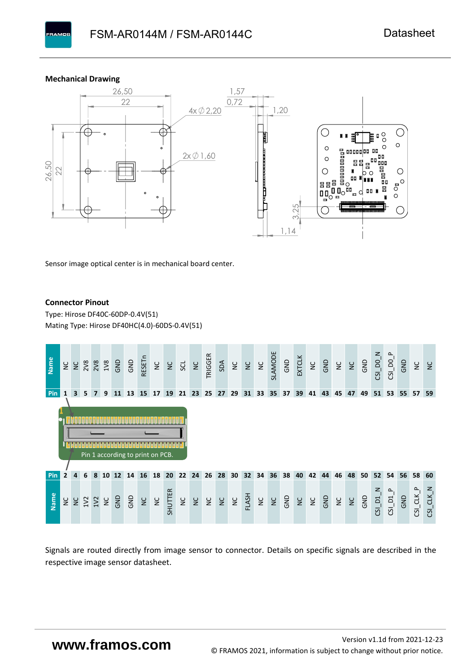#### **Mechanical Drawing**

**PAMOS** 



Sensor image optical center is in mechanical board center.

#### **Connector Pinout**

Type: [Hirose DF40C-60DP-0.4V\(51](#page-0-6)[\)](#page-0-6)  Mating Type: Hirose DF40HC(4.0)-60DS-0.4V(51)



Signals are routed directly from image sensor to connector. Details on specific signals are described in the respective image sensor datasheet.

## **www.framos.com**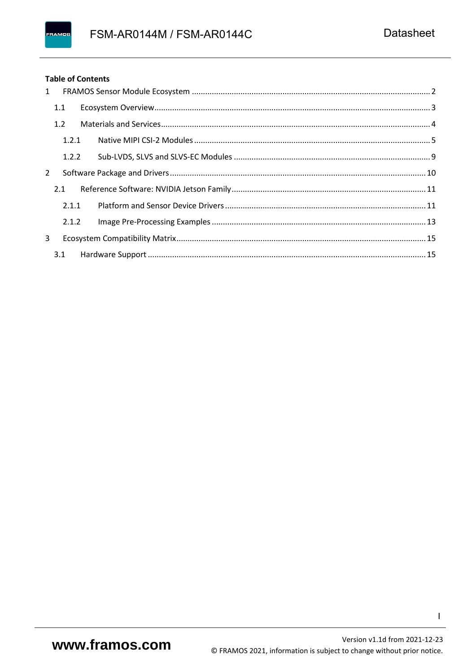#### **Table of Contents**

| 1 |       |  |
|---|-------|--|
|   | 1.1   |  |
|   | 1.2   |  |
|   | 1.2.1 |  |
|   | 1.2.2 |  |
| 2 |       |  |
|   | 2.1   |  |
|   | 2.1.1 |  |
|   | 2.1.2 |  |
| 3 |       |  |
|   |       |  |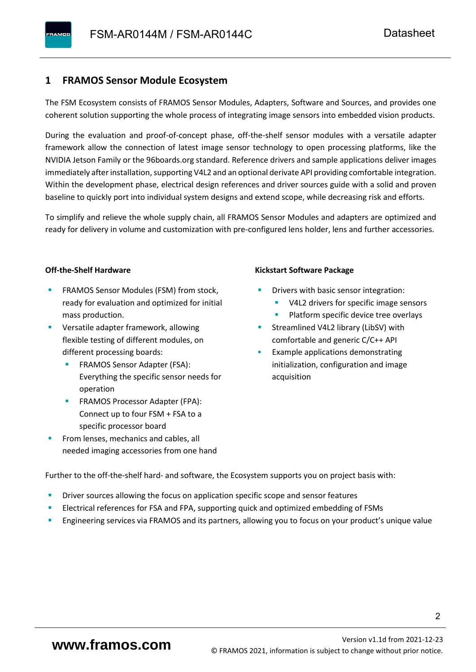#### <span id="page-3-0"></span>**1 FRAMOS Sensor Module Ecosystem**

The FSM Ecosystem consists of FRAMOS Sensor Modules, Adapters, Software and Sources, and provides one coherent solution supporting the whole process of integrating image sensors into embedded vision products.

During the evaluation and proof-of-concept phase, off-the-shelf sensor modules with a versatile adapter framework allow the connection of latest image sensor technology to open processing platforms, like the NVIDIA Jetson Family or the 96boards.org standard. Reference drivers and sample applications deliver images immediately after installation, supporting V4L2 and an optional derivate API providing comfortable integration. Within the development phase, electrical design references and driver sources guide with a solid and proven baseline to quickly port into individual system designs and extend scope, while decreasing risk and efforts.

To simplify and relieve the whole supply chain, all FRAMOS Sensor Modules and adapters are optimized and ready for delivery in volume and customization with pre-configured lens holder, lens and further accessories.

#### **Off-the-Shelf Hardware**

- FRAMOS Sensor Modules (FSM) from stock, ready for evaluation and optimized for initial mass production.
- Versatile adapter framework, allowing flexible testing of different modules, on different processing boards:
	- FRAMOS Sensor Adapter (FSA): Everything the specific sensor needs for operation
	- FRAMOS Processor Adapter (FPA): Connect up to four FSM + FSA to a specific processor board
- From lenses, mechanics and cables, all needed imaging accessories from one hand

#### **Kickstart Software Package**

- Drivers with basic sensor integration:
	- V4L2 drivers for specific image sensors
	- Platform specific device tree overlays
- Streamlined V4L2 library (LibSV) with comfortable and generic C/C++ API
- Example applications demonstrating initialization, configuration and image acquisition

Further to the off-the-shelf hard- and software, the Ecosystem supports you on project basis with:

- Driver sources allowing the focus on application specific scope and sensor features
- Electrical references for FSA and FPA, supporting quick and optimized embedding of FSMs
- Engineering services via FRAMOS and its partners, allowing you to focus on your product's unique value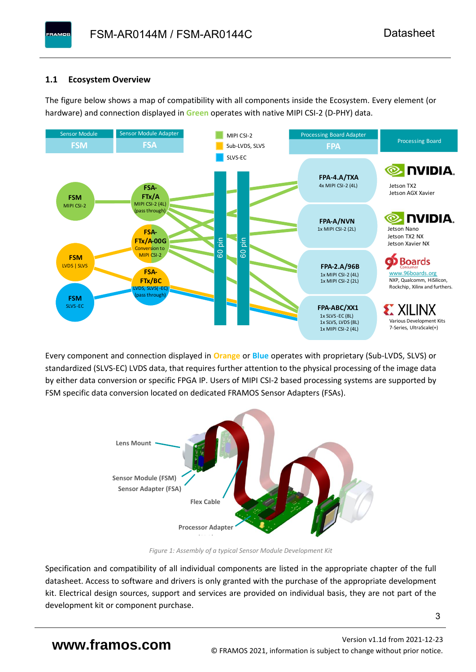#### <span id="page-4-0"></span>**1.1 Ecosystem Overview**

**PAMOS** 

The figure below shows a map of compatibility with all components inside the Ecosystem. Every element (or hardware) and connection displayed in **Green** operates with native MIPI CSI-2 (D-PHY) data.



Every component and connection displayed in **Orange** or **Blue** operates with proprietary (Sub-LVDS, SLVS) or standardized (SLVS-EC) LVDS data, that requires further attention to the physical processing of the image data by either data conversion or specific FPGA IP. Users of MIPI CSI-2 based processing systems are supported by FSM specific data conversion located on dedicated FRAMOS Sensor Adapters (FSAs).



*Figure 1: Assembly of a typical Sensor Module Development Kit*

Specification and compatibility of all individual components are listed in the appropriate chapter of the full datasheet. Access to software and drivers is only granted with the purchase of the appropriate development kit. Electrical design sources, support and services are provided on individual basis, they are not part of the development kit or component purchase.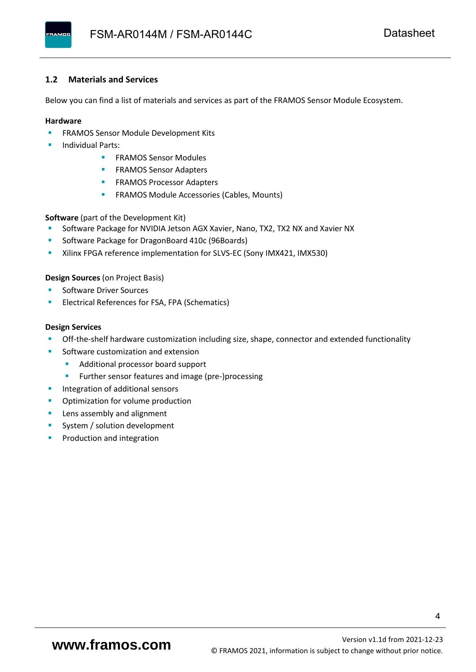#### <span id="page-5-0"></span>**1.2 Materials and Services**

Below you can find a list of materials and services as part of the FRAMOS Sensor Module Ecosystem.

#### **Hardware**

- **EXECTED FRAMOS Sensor Module Development Kits**
- **Individual Parts:** 
	- FRAMOS Sensor Modules
	- **FRAMOS Sensor Adapters**
	- **EXAMOS Processor Adapters**
	- **EXECTED** FRAMOS Module Accessories (Cables, Mounts)

**Software** (part of the Development Kit)

- Software Package for NVIDIA Jetson AGX Xavier, Nano, TX2, TX2 NX and Xavier NX
- Software Package for DragonBoard 410c (96Boards)
- **E** Xilinx FPGA reference implementation for SLVS-EC (Sony IMX421, IMX530)

#### **Design Sources** (on Project Basis)

- Software Driver Sources
- Electrical References for FSA, FPA (Schematics)

#### **Design Services**

- Off-the-shelf hardware customization including size, shape, connector and extended functionality
- Software customization and extension
	- Additional processor board support
	- Further sensor features and image (pre-)processing
- **■** Integration of additional sensors
- Optimization for volume production
- Lens assembly and alignment
- System / solution development
- Production and integration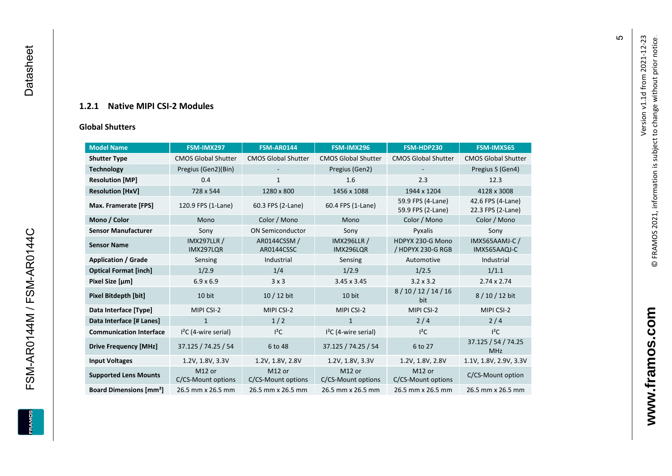#### **1.2.1 Native MIPI CSI - 2 Modules**

#### **[Global Shu](#page-0-7)tters**

<span id="page-6-0"></span>

| <b>Model Name</b>                        | FSM-IMX297                      | <b>FSM-AR0144</b>            | FSM-IMX296                      | FSM-HDP230                             | FSM-IMX565                             |
|------------------------------------------|---------------------------------|------------------------------|---------------------------------|----------------------------------------|----------------------------------------|
|                                          |                                 |                              |                                 |                                        |                                        |
| <b>Shutter Type</b>                      | <b>CMOS Global Shutter</b>      | <b>CMOS Global Shutter</b>   | <b>CMOS Global Shutter</b>      | <b>CMOS Global Shutter</b>             | <b>CMOS Global Shutter</b>             |
| <b>Technology</b>                        | Pregius (Gen2)(Bin)             |                              | Pregius (Gen2)                  |                                        | Pregius S (Gen4)                       |
| <b>Resolution [MP]</b>                   | 0.4                             | 1                            | 1.6                             | 2.3                                    | 12.3                                   |
| <b>Resolution [HxV]</b>                  | 728 x 544                       | 1280 x 800                   | 1456 x 1088                     | 1944 x 1204                            | 4128 x 3008                            |
| Max. Framerate [FPS]                     | 120.9 FPS (1-Lane)              | 60.3 FPS (2-Lane)            | 60.4 FPS (1-Lane)               | 59.9 FPS (4-Lane)<br>59.9 FPS (2-Lane) | 42.6 FPS (4-Lane)<br>22.3 FPS (2-Lane) |
| Mono / Color                             | Mono                            | Color / Mono                 | Mono                            | Color / Mono                           | Color / Mono                           |
| <b>Sensor Manufacturer</b>               | Sony                            | <b>ON Semiconductor</b>      | Sony                            | Pyxalis                                | Sony                                   |
| <b>Sensor Name</b>                       | <b>IMX297LLR /</b><br>IMX297LQR | AR0144CSSM /<br>AR0144CSSC   | <b>IMX296LLR /</b><br>IMX296LQR | HDPYX 230-G Mono<br>/ HDPYX 230-G RGB  | <b>IMX565AAMJ-C/</b><br>IMX565AAQJ-C   |
| <b>Application / Grade</b>               | Sensing                         | Industrial                   | Sensing                         | Automotive                             | Industrial                             |
| <b>Optical Format [inch]</b>             | 1/2.9                           | 1/4                          | 1/2.9                           | 1/2.5                                  | 1/1.1                                  |
| Pixel Size [µm]                          | $6.9 \times 6.9$                | 3x3                          | 3.45 x 3.45                     | $3.2 \times 3.2$                       | $2.74 \times 2.74$                     |
| Pixel Bitdepth [bit]                     | 10 bit                          | $10/12$ bit                  | 10 bit                          | 8/10/12/14/16<br>bit                   | 8/10/12 bit                            |
| Data Interface [Type]                    | MIPI CSI-2                      | MIPI CSI-2                   | MIPI CSI-2                      | MIPI CSI-2                             | MIPI CSI-2                             |
| Data Interface [# Lanes]                 | $\mathbf{1}$                    | 1/2                          | $\mathbf{1}$                    | 2/4                                    | 2/4                                    |
| <b>Communication Interface</b>           | $I2C$ (4-wire serial)           | $l^2C$                       | $I2C$ (4-wire serial)           | $I^2C$                                 | $I^2C$                                 |
| <b>Drive Frequency [MHz]</b>             | 37.125 / 74.25 / 54             | 6 to 48                      | 37.125 / 74.25 / 54             | 6 to 27                                | 37.125 / 54 / 74.25<br><b>MHz</b>      |
| <b>Input Voltages</b>                    | 1.2V, 1.8V, 3.3V                | 1.2V, 1.8V, 2.8V             | 1.2V, 1.8V, 3.3V                | 1.2V, 1.8V, 2.8V                       | 1.1V, 1.8V, 2.9V, 3.3V                 |
| <b>Supported Lens Mounts</b>             | M12 or<br>C/CS-Mount options    | M12 or<br>C/CS-Mount options | M12 or<br>C/CS-Mount options    | M12 or<br>C/CS-Mount options           | C/CS-Mount option                      |
| <b>Board Dimensions [mm<sup>2</sup>]</b> | 26.5 mm x 26.5 mm               | 26.5 mm x 26.5 mm            | 26.5 mm x 26.5 mm               | 26.5 mm x 26.5 mm                      | 26.5 mm x 26.5 mm                      |

Version v1.1d from 2021-12-23

Version v1.1d from 2021-12-23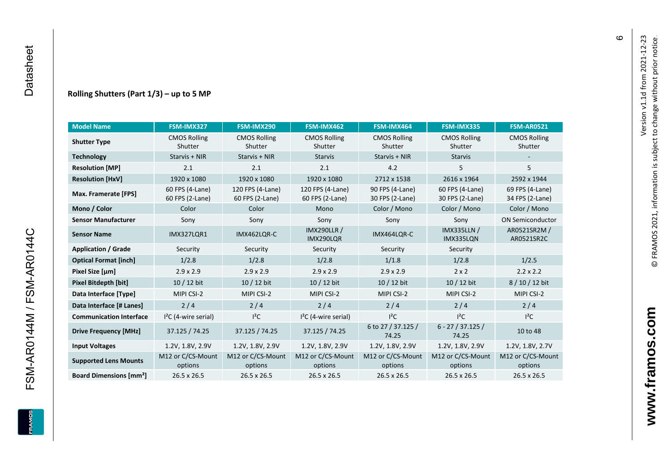FSM-AR0144M / FSM-AR0144C

**ERAMOS** 

#### **Rolling Shutters (Part 1/ 3 ) – up to 5 MP**

| <b>Model Name</b>                        | FSM-IMX327                         | FSM-IMX290                          | FSM-IMX462                          | FSM-IMX464                         | FSM-IMX335                         | <b>FSM-AR0521</b>                  |
|------------------------------------------|------------------------------------|-------------------------------------|-------------------------------------|------------------------------------|------------------------------------|------------------------------------|
| <b>Shutter Type</b>                      | <b>CMOS Rolling</b><br>Shutter     | <b>CMOS Rolling</b><br>Shutter      | <b>CMOS Rolling</b><br>Shutter      | <b>CMOS Rolling</b><br>Shutter     | <b>CMOS Rolling</b><br>Shutter     | <b>CMOS Rolling</b><br>Shutter     |
| <b>Technology</b>                        | Starvis + NIR                      | Starvis + NIR                       | <b>Starvis</b>                      | Starvis + NIR                      | <b>Starvis</b>                     |                                    |
| <b>Resolution [MP]</b>                   | 2.1                                | 2.1                                 | 2.1                                 | 4.2                                | 5                                  | 5                                  |
| <b>Resolution [HxV]</b>                  | 1920 x 1080                        | 1920 x 1080                         | 1920 x 1080                         | 2712 x 1538                        | 2616 x 1964                        | 2592 x 1944                        |
| Max. Framerate [FPS]                     | 60 FPS (4-Lane)<br>60 FPS (2-Lane) | 120 FPS (4-Lane)<br>60 FPS (2-Lane) | 120 FPS (4-Lane)<br>60 FPS (2-Lane) | 90 FPS (4-Lane)<br>30 FPS (2-Lane) | 60 FPS (4-Lane)<br>30 FPS (2-Lane) | 69 FPS (4-Lane)<br>34 FPS (2-Lane) |
| Mono / Color                             | Color                              | Color                               | Mono                                | Color / Mono                       | Color / Mono                       | Color / Mono                       |
| <b>Sensor Manufacturer</b>               | Sony                               | Sony                                | Sony                                | Sony                               | Sony                               | <b>ON Semiconductor</b>            |
| <b>Sensor Name</b>                       | <b>IMX327LQR1</b>                  | IMX462LQR-C                         | <b>IMX290LLR /</b><br>IMX290LQR     | IMX464LQR-C                        | <b>IMX335LLN /</b><br>IMX335LQN    | AR0521SR2M /<br>AR0521SR2C         |
| <b>Application / Grade</b>               | Security                           | Security                            | Security                            | Security                           | Security                           |                                    |
| <b>Optical Format [inch]</b>             | 1/2.8                              | 1/2.8                               | 1/2.8                               | 1/1.8                              | 1/2.8                              | 1/2.5                              |
| Pixel Size [µm]                          | $2.9 \times 2.9$                   | $2.9 \times 2.9$                    | $2.9 \times 2.9$                    | $2.9 \times 2.9$                   | $2 \times 2$                       | $2.2 \times 2.2$                   |
| <b>Pixel Bitdepth [bit]</b>              | 10 / 12 bit                        | 10 / 12 bit                         | 10 / 12 bit                         | 10 / 12 bit                        | 10 / 12 bit                        | 8/10/12 bit                        |
| Data Interface [Type]                    | MIPI CSI-2                         | MIPI CSI-2                          | MIPI CSI-2                          | MIPI CSI-2                         | MIPI CSI-2                         | MIPI CSI-2                         |
| Data Interface [# Lanes]                 | 2/4                                | 2/4                                 | 2/4                                 | 2/4                                | 2/4                                | 2/4                                |
| <b>Communication Interface</b>           | $I2C$ (4-wire serial)              | $I^2C$                              | $I2C$ (4-wire serial)               | $I^2C$                             | $l^2C$                             | $l^2C$                             |
| <b>Drive Frequency [MHz]</b>             | 37.125 / 74.25                     | 37.125 / 74.25                      | 37.125 / 74.25                      | 6 to 27 / 37.125 /<br>74.25        | $6 - 27 / 37.125 /$<br>74.25       | 10 to 48                           |
| <b>Input Voltages</b>                    | 1.2V, 1.8V, 2.9V                   | 1.2V, 1.8V, 2.9V                    | 1.2V, 1.8V, 2.9V                    | 1.2V, 1.8V, 2.9V                   | 1.2V, 1.8V, 2.9V                   | 1.2V, 1.8V, 2.7V                   |
| <b>Supported Lens Mounts</b>             | M12 or C/CS-Mount<br>options       | M12 or C/CS-Mount<br>options        | M12 or C/CS-Mount<br>options        | M12 or C/CS-Mount<br>options       | M12 or C/CS-Mount<br>options       | M12 or C/CS-Mount<br>options       |
| <b>Board Dimensions [mm<sup>2</sup>]</b> | 26.5 x 26.5                        | 26.5 x 26.5                         | 26.5 x 26.5                         | 26.5 x 26.5                        | 26.5 x 26.5                        | $26.5 \times 26.5$                 |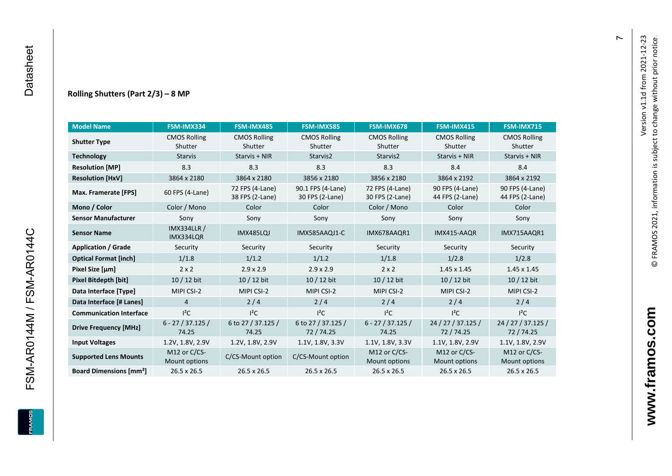#### **Rolling Shutters (Part 2/ 3 ) – 8 MP**

| <b>Model Name</b>                        | FSM-IMX334                      | FSM-IMX485                         | <b>FSM-IMX585</b>                    | FSM-IMX678                         | FSM-IMX415                         | <b>FSM-IMX715</b>                  |
|------------------------------------------|---------------------------------|------------------------------------|--------------------------------------|------------------------------------|------------------------------------|------------------------------------|
| <b>Shutter Type</b>                      | <b>CMOS Rolling</b><br>Shutter  | <b>CMOS Rolling</b><br>Shutter     | <b>CMOS Rolling</b><br>Shutter       | <b>CMOS Rolling</b><br>Shutter     | <b>CMOS Rolling</b><br>Shutter     | <b>CMOS Rolling</b><br>Shutter     |
| <b>Technology</b>                        | <b>Starvis</b>                  | Starvis + NIR                      | Starvis2                             | Starvis2                           | Starvis + NIR                      | Starvis + NIR                      |
| <b>Resolution [MP]</b>                   | 8.3                             | 8.3                                | 8.3                                  | 8.3                                | 8.4                                | 8.4                                |
| <b>Resolution [HxV]</b>                  | 3864 x 2180                     | 3864 x 2180                        | 3856 x 2180                          | 3856 x 2180                        | 3864 x 2192                        | 3864 x 2192                        |
| Max. Framerate [FPS]                     | 60 FPS (4-Lane)                 | 72 FPS (4-Lane)<br>38 FPS (2-Lane) | 90.1 FPS (4-Lane)<br>30 FPS (2-Lane) | 72 FPS (4-Lane)<br>30 FPS (2-Lane) | 90 FPS (4-Lane)<br>44 FPS (2-Lane) | 90 FPS (4-Lane)<br>44 FPS (2-Lane) |
| Mono / Color                             | Color / Mono                    | Color                              | Color                                | Color / Mono                       | Color                              | Color                              |
| <b>Sensor Manufacturer</b>               | Sony                            | Sony                               | Sony                                 | Sony                               | Sony                               | Sony                               |
| <b>Sensor Name</b>                       | <b>IMX334LLR /</b><br>IMX334LQR | IMX485LQJ                          | IMX585AAQJ1-C                        | IMX678AAQR1                        | IMX415-AAQR                        | IMX715AAQR1                        |
| <b>Application / Grade</b>               | Security                        | Security                           | Security                             | Security                           | Security                           | Security                           |
| <b>Optical Format [inch]</b>             | 1/1.8                           | 1/1.2                              | 1/1.2                                | 1/1.8                              | 1/2.8                              | 1/2.8                              |
| Pixel Size [µm]                          | $2 \times 2$                    | $2.9 \times 2.9$                   | $2.9 \times 2.9$                     | $2 \times 2$                       | $1.45 \times 1.45$                 | $1.45 \times 1.45$                 |
| Pixel Bitdepth [bit]                     | 10 / 12 bit                     | 10 / 12 bit                        | $10/12$ bit                          | $10/12$ bit                        | 10 / 12 bit                        | $10/12$ bit                        |
| Data Interface [Type]                    | MIPI CSI-2                      | MIPI CSI-2                         | MIPI CSI-2                           | MIPI CSI-2                         | MIPI CSI-2                         | MIPI CSI-2                         |
| Data Interface [# Lanes]                 | $\overline{4}$                  | 2/4                                | 2/4                                  | 2/4                                | 2/4                                | 2/4                                |
| <b>Communication Interface</b>           | $I^2C$                          | $I^2C$                             | $I^2C$                               | $I^2C$                             | $I^2C$                             | $I^2C$                             |
| <b>Drive Frequency [MHz]</b>             | $6 - 27 / 37.125 /$<br>74.25    | 6 to 27 / 37.125 /<br>74.25        | 6 to 27 / 37.125 /<br>72/74.25       | $6 - 27 / 37.125 /$<br>74.25       | 24 / 27 / 37.125 /<br>72/74.25     | 24 / 27 / 37.125 /<br>72/74.25     |
| <b>Input Voltages</b>                    | 1.2V, 1.8V, 2.9V                | 1.2V, 1.8V, 2.9V                   | 1.1V, 1.8V, 3.3V                     | 1.1V, 1.8V, 3.3V                   | 1.1V, 1.8V, 2.9V                   | 1.1V, 1.8V, 2.9V                   |
| <b>Supported Lens Mounts</b>             | M12 or C/CS-<br>Mount options   | C/CS-Mount option                  | C/CS-Mount option                    | M12 or C/CS-<br>Mount options      | M12 or C/CS-<br>Mount options      | M12 or C/CS-<br>Mount options      |
| <b>Board Dimensions [mm<sup>2</sup>]</b> | $26.5 \times 26.5$              | $26.5 \times 26.5$                 | 26.5 x 26.5                          | 26.5 x 26.5                        | 26.5 x 26.5                        | 26.5 x 26.5                        |

FSM-AR0144M / FSM-AR0144C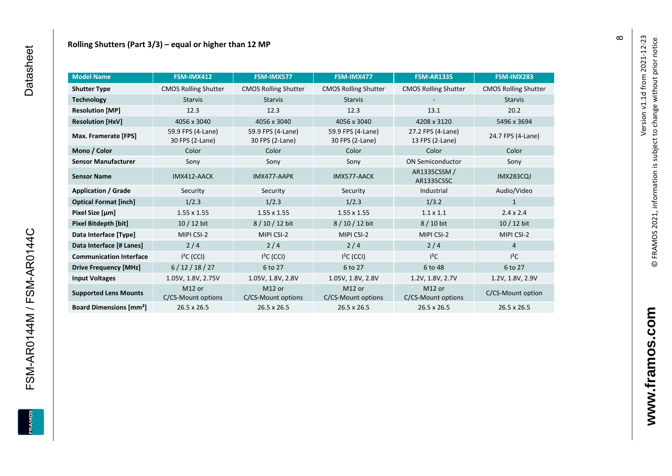| <b>Model Name</b>                        | FSM-IMX412                               | FSM-IMX577                               | FSM-IMX477                               | <b>FSM-AR1335</b>                    | FSM-IMX283                  |
|------------------------------------------|------------------------------------------|------------------------------------------|------------------------------------------|--------------------------------------|-----------------------------|
| <b>Shutter Type</b>                      | <b>CMOS Rolling Shutter</b>              | <b>CMOS Rolling Shutter</b>              | <b>CMOS Rolling Shutter</b>              | <b>CMOS Rolling Shutter</b>          | <b>CMOS Rolling Shutter</b> |
| <b>Technology</b>                        | <b>Starvis</b>                           | <b>Starvis</b>                           | <b>Starvis</b>                           |                                      | <b>Starvis</b>              |
| <b>Resolution [MP]</b>                   | 12.3                                     | 12.3                                     | 12.3                                     | 13.1                                 | 20.2                        |
| <b>Resolution [HxV]</b>                  | 4056 x 3040                              | 4056 x 3040                              | 4056 x 3040                              | 4208 x 3120                          | 5496 x 3694                 |
| Max. Framerate [FPS]                     | 59.9 FPS (4-Lane)<br>30 FPS (2-Lane)     | 59.9 FPS (4-Lane)<br>30 FPS (2-Lane)     | 59.9 FPS (4-Lane)<br>30 FPS (2-Lane)     | 27.2 FPS (4-Lane)<br>13 FPS (2-Lane) | 24.7 FPS (4-Lane)           |
| Mono / Color                             | Color                                    | Color                                    | Color                                    | Color                                | Color                       |
| <b>Sensor Manufacturer</b>               | Sony                                     | Sony                                     | Sony                                     | <b>ON Semiconductor</b>              | Sony                        |
| <b>Sensor Name</b>                       | IMX412-AACK                              | IMX477-AAPK                              | IMX577-AACK                              | AR1335CSSM /<br>AR1335CSSC           | <b>IMX283CQJ</b>            |
| <b>Application / Grade</b>               | Security                                 | Security                                 | Security                                 | Industrial                           | Audio/Video                 |
| <b>Optical Format [inch]</b>             | 1/2.3                                    | 1/2.3                                    | 1/2.3                                    | 1/3.2                                | 1                           |
| Pixel Size [µm]                          | 1.55 x 1.55                              | $1.55 \times 1.55$                       | $1.55 \times 1.55$                       | $1.1 \times 1.1$                     | $2.4 \times 2.4$            |
| <b>Pixel Bitdepth [bit]</b>              | $10/12$ bit                              | 8 / 10 / 12 bit                          | 8/10/12 bit                              | 8 / 10 bit                           | $10/12$ bit                 |
| Data Interface [Type]                    | MIPI CSI-2                               | MIPI CSI-2                               | MIPI CSI-2                               | MIPI CSI-2                           | MIPI CSI-2                  |
| Data Interface [# Lanes]                 | $2/4$                                    | 2/4                                      | 2/4                                      | 2/4                                  | $\overline{4}$              |
| <b>Communication Interface</b>           | $I2C$ (CCI)                              | $I2C$ (CCI)                              | $I2C$ (CCI)                              | $l^2C$                               | $I^2C$                      |
| <b>Drive Frequency [MHz]</b>             | 6/12/18/27                               | 6 to 27                                  | 6 to 27                                  | 6 to 48                              | 6 to 27                     |
| <b>Input Voltages</b>                    | 1.05V, 1.8V, 2.75V                       | 1.05V, 1.8V, 2.8V                        | 1.05V, 1.8V, 2.8V                        | 1.2V, 1.8V, 2.7V                     | 1.2V, 1.8V, 2.9V            |
| <b>Supported Lens Mounts</b>             | M <sub>12</sub> or<br>C/CS-Mount options | M <sub>12</sub> or<br>C/CS-Mount options | M <sub>12</sub> or<br>C/CS-Mount options | M12 or<br>C/CS-Mount options         | C/CS-Mount option           |
| <b>Board Dimensions [mm<sup>2</sup>]</b> | $26.5 \times 26.5$                       | $26.5 \times 26.5$                       | $26.5 \times 26.5$                       | $26.5 \times 26.5$                   | 26.5 x 26.5                 |

Version v1.1d from 2021-12-23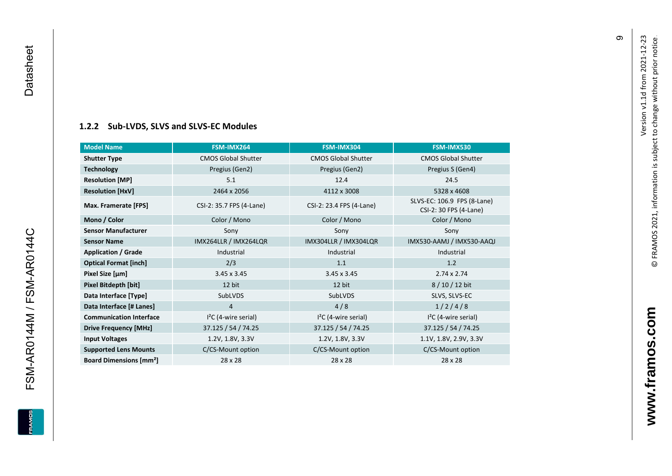# **[1.2.2](#page-0-7) Sub -LVDS, SLVS and SLVS -EC Modules**

<span id="page-10-0"></span>

| <b>Model Name</b>                        | FSM-IMX264                 | FSM-IMX304                 | FSM-IMX530                                            |
|------------------------------------------|----------------------------|----------------------------|-------------------------------------------------------|
| <b>Shutter Type</b>                      | <b>CMOS Global Shutter</b> | <b>CMOS Global Shutter</b> | <b>CMOS Global Shutter</b>                            |
| <b>Technology</b>                        | Pregius (Gen2)             | Pregius (Gen2)             | Pregius S (Gen4)                                      |
| <b>Resolution [MP]</b>                   | 5.1                        | 12.4                       | 24.5                                                  |
| <b>Resolution [HxV]</b>                  | 2464 x 2056                | 4112 x 3008                | 5328 x 4608                                           |
| Max. Framerate [FPS]                     | CSI-2: 35.7 FPS (4-Lane)   | CSI-2: 23.4 FPS (4-Lane)   | SLVS-EC: 106.9 FPS (8-Lane)<br>CSI-2: 30 FPS (4-Lane) |
| Mono / Color                             | Color / Mono               | Color / Mono               | Color / Mono                                          |
| <b>Sensor Manufacturer</b>               | Sony                       | Sony                       | Sony                                                  |
| <b>Sensor Name</b>                       | IMX264LLR / IMX264LQR      | IMX304LLR / IMX304LQR      | IMX530-AAMJ / IMX530-AAQJ                             |
| <b>Application / Grade</b>               | Industrial                 | Industrial                 | Industrial                                            |
| <b>Optical Format [inch]</b>             | 2/3                        | 1.1                        | 1.2                                                   |
| Pixel Size [µm]                          | $3.45 \times 3.45$         | $3.45 \times 3.45$         | $2.74 \times 2.74$                                    |
| Pixel Bitdepth [bit]                     | 12 bit                     | 12 bit                     | 8/10/12 bit                                           |
| Data Interface [Type]                    | SubLVDS                    | SubLVDS                    | SLVS, SLVS-EC                                         |
| Data Interface [# Lanes]                 | 4                          | 4/8                        | 1/2/4/8                                               |
| <b>Communication Interface</b>           | $I2C$ (4-wire serial)      | $I2C$ (4-wire serial)      | $I2C$ (4-wire serial)                                 |
| <b>Drive Frequency [MHz]</b>             | 37.125 / 54 / 74.25        | 37.125 / 54 / 74.25        | 37.125 / 54 / 74.25                                   |
| <b>Input Voltages</b>                    | 1.2V, 1.8V, 3.3V           | 1.2V, 1.8V, 3.3V           | 1.1V, 1.8V, 2.9V, 3.3V                                |
| <b>Supported Lens Mounts</b>             | C/CS-Mount option          | C/CS-Mount option          | C/CS-Mount option                                     |
| <b>Board Dimensions [mm<sup>2</sup>]</b> | 28 x 28                    | $28 \times 28$             | 28 x 28                                               |

თ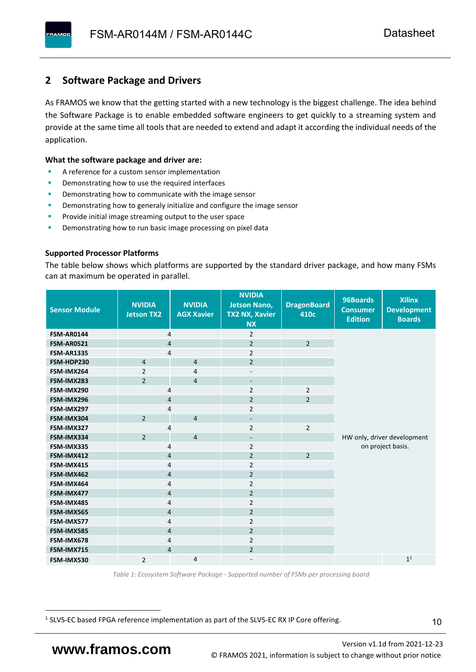### <span id="page-11-0"></span>**2 Software Package and Drivers**

As FRAMOS we know that the getting started with a new technology is the biggest challenge. The idea behind the Software Package is to enable embedded software engineers to get quickly to a streaming system and provide at the same time all tools that are needed to extend and adapt it according the individual needs of the application.

#### **What the software package and driver are:**

- A reference for a custom sensor implementation
- Demonstrating how to use the required interfaces
- Demonstrating how to communicate with the image sensor
- Demonstrating how to generaly initialize and configure the image sensor
- Provide initial image streaming output to the user space
- Demonstrating how to run basic image processing on pixel data

#### **Supported Processor Platforms**

The table below shows which platforms are supported by the standard driver package, and how many FSMs can at maximum be operated in parallel.

| <b>Sensor Module</b> | <b>NVIDIA</b><br><b>Jetson TX2</b> | <b>NVIDIA</b><br><b>AGX Xavier</b> | <b>NVIDIA</b><br><b>Jetson Nano,</b><br><b>TX2 NX, Xavier</b><br><b>NX</b> | <b>DragonBoard</b><br>410c | 96Boards<br><b>Consumer</b><br><b>Edition</b> | <b>Xilinx</b><br><b>Development</b><br><b>Boards</b> |  |
|----------------------|------------------------------------|------------------------------------|----------------------------------------------------------------------------|----------------------------|-----------------------------------------------|------------------------------------------------------|--|
| <b>FSM-AR0144</b>    | 4                                  |                                    | $\overline{2}$                                                             |                            |                                               |                                                      |  |
| <b>FSM-AR0521</b>    | $\overline{4}$                     |                                    | $\overline{2}$                                                             | $\overline{2}$             |                                               |                                                      |  |
| <b>FSM-AR1335</b>    | 4                                  |                                    | $\overline{2}$                                                             |                            |                                               |                                                      |  |
| FSM-HDP230           | $\overline{4}$                     | $\overline{4}$                     | $\overline{2}$                                                             |                            |                                               |                                                      |  |
| FSM-IMX264           | $\overline{2}$                     | $\overline{4}$                     | $\overline{\phantom{a}}$                                                   |                            |                                               |                                                      |  |
| FSM-IMX283           | $\overline{2}$                     | $\overline{4}$                     | $\overline{\phantom{a}}$                                                   |                            |                                               |                                                      |  |
| FSM-IMX290           | 4                                  |                                    | $\overline{2}$                                                             | $\overline{2}$             |                                               |                                                      |  |
| FSM-IMX296           | 4                                  |                                    | $\overline{2}$                                                             | $\overline{2}$             |                                               |                                                      |  |
| FSM-IMX297           | 4                                  |                                    | $\overline{2}$                                                             |                            |                                               |                                                      |  |
| FSM-IMX304           | $\overline{2}$                     | $\overline{4}$                     | $\overline{\phantom{a}}$                                                   |                            |                                               |                                                      |  |
| FSM-IMX327           | 4                                  |                                    | $\overline{2}$                                                             | $\overline{2}$             |                                               |                                                      |  |
| FSM-IMX334           | $\overline{2}$                     | $\overline{4}$                     | $\overline{\phantom{a}}$                                                   |                            |                                               | HW only, driver development                          |  |
| FSM-IMX335           | 4                                  |                                    | $\overline{2}$                                                             |                            | on project basis.                             |                                                      |  |
| FSM-IMX412           | $\overline{4}$                     |                                    | $\overline{2}$                                                             | $\overline{2}$             |                                               |                                                      |  |
| FSM-IMX415           | 4                                  |                                    | $\overline{2}$                                                             |                            |                                               |                                                      |  |
| FSM-IMX462           | $\overline{\mathbf{4}}$            |                                    | $\overline{2}$                                                             |                            |                                               |                                                      |  |
| FSM-IMX464           | $\overline{4}$                     |                                    | $\overline{2}$                                                             |                            |                                               |                                                      |  |
| FSM-IMX477           | $\overline{4}$                     |                                    | $\overline{2}$                                                             |                            |                                               |                                                      |  |
| FSM-IMX485           | $\overline{4}$                     |                                    | $\overline{2}$                                                             |                            |                                               |                                                      |  |
| FSM-IMX565           | $\overline{4}$                     |                                    | $\overline{2}$                                                             |                            |                                               |                                                      |  |
| FSM-IMX577           | $\overline{4}$                     |                                    | $\overline{2}$                                                             |                            |                                               |                                                      |  |
| FSM-IMX585           | $\overline{4}$                     |                                    | $\overline{2}$                                                             |                            |                                               |                                                      |  |
| FSM-IMX678           | 4                                  |                                    | $\overline{2}$                                                             |                            |                                               |                                                      |  |
| FSM-IMX715           | $\overline{4}$                     |                                    | $\overline{2}$                                                             |                            |                                               |                                                      |  |
| FSM-IMX530           | $\overline{2}$                     | $\overline{4}$                     |                                                                            |                            |                                               | 1 <sup>1</sup>                                       |  |

*Table 1: Ecosystem Software Package - Supported number of FSMs per processing board*

<sup>1</sup> SLVS-EC based FPGA reference implementation as part of the SLVS-EC RX IP Core offering.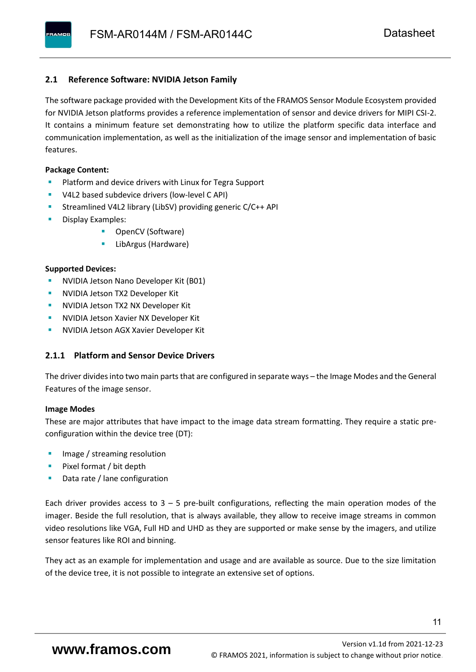#### <span id="page-12-0"></span>**2.1 Reference Software: NVIDIA Jetson Family**

The software package provided with the Development Kits of the FRAMOS Sensor Module Ecosystem provided for NVIDIA Jetson platforms provides a reference implementation of sensor and device drivers for MIPI CSI-2. It contains a minimum feature set demonstrating how to utilize the platform specific data interface and communication implementation, as well as the initialization of the image sensor and implementation of basic features.

#### **Package Content:**

- Platform and device drivers with Linux for Tegra Support
- V4L2 based subdevice drivers (low-level C API)
- Streamlined V4L2 library (LibSV) providing generic C/C++ API
- Display Examples:
	- OpenCV (Software)
	- LibArgus (Hardware)

#### **Supported Devices:**

- **NVIDIA Jetson Nano Developer Kit (B01)**
- **NVIDIA Jetson TX2 Developer Kit**
- NVIDIA Jetson TX2 NX Developer Kit
- **NVIDIA Jetson Xavier NX Developer Kit**
- **NVIDIA Jetson AGX Xavier Developer Kit**

#### <span id="page-12-1"></span>**2.1.1 Platform and Sensor Device Drivers**

The driver divides into two main parts that are configured in separate ways – the Image Modes and the General Features of the image sensor.

#### **Image Modes**

These are major attributes that have impact to the image data stream formatting. They require a static preconfiguration within the device tree (DT):

- Image / streaming resolution
- Pixel format / bit depth
- Data rate / lane configuration

Each driver provides access to  $3 - 5$  pre-built configurations, reflecting the main operation modes of the imager. Beside the full resolution, that is always available, they allow to receive image streams in common video resolutions like VGA, Full HD and UHD as they are supported or make sense by the imagers, and utilize sensor features like ROI and binning.

They act as an example for implementation and usage and are available as source. Due to the size limitation of the device tree, it is not possible to integrate an extensive set of options.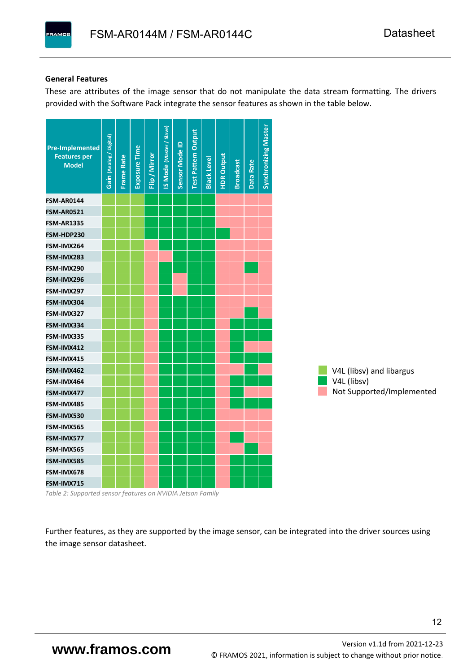#### **General Features**

**PAMOS** 

These are attributes of the image sensor that do not manipulate the data stream formatting. The drivers provided with the Software Pack integrate the sensor features as shown in the table below.



*Table 2: Supported sensor features on NVIDIA Jetson Family*

Further features, as they are supported by the image sensor, can be integrated into the driver sources using the image sensor datasheet.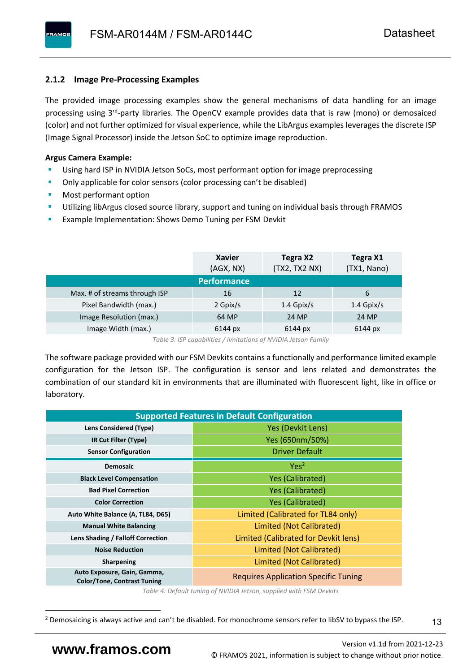#### <span id="page-14-0"></span>**2.1.2 Image Pre-Processing Examples**

The provided image processing examples show the general mechanisms of data handling for an image processing using 3<sup>rd</sup>-party libraries. The OpenCV example provides data that is raw (mono) or demosaiced (color) and not further optimized for visual experience, while the LibArgus examples leverages the discrete ISP (Image Signal Processor) inside the Jetson SoC to optimize image reproduction.

#### **Argus Camera Example:**

- Using hard ISP in NVIDIA Jetson SoCs, most performant option for image preprocessing
- Only applicable for color sensors (color processing can't be disabled)
- Most performant option
- Utilizing libArgus closed source library, support and tuning on individual basis through FRAMOS
- Example Implementation: Shows Demo Tuning per FSM Devkit

|                               | <b>Xavier</b><br>(AGX, NX) | Tegra X2<br>(TX2, TX2 NX) | Tegra X1<br>(TX1, Nano) |
|-------------------------------|----------------------------|---------------------------|-------------------------|
|                               | <b>Performance</b>         |                           |                         |
| Max. # of streams through ISP | 16                         | 12                        | 6                       |
| Pixel Bandwidth (max.)        | 2 Gpix/s                   | $1.4$ Gpix/s              | $1.4$ Gpix/s            |
| Image Resolution (max.)       | 64 MP                      | 24 MP                     | 24 MP                   |
| Image Width (max.)            | 6144 px                    | 6144 px                   | 6144 px                 |

*Table 3: ISP capabilities / limitations of NVIDIA Jetson Family*

The software package provided with our FSM Devkits contains a functionally and performance limited example configuration for the Jetson ISP. The configuration is sensor and lens related and demonstrates the combination of our standard kit in environments that are illuminated with fluorescent light, like in office or laboratory.

| <b>Supported Features in Default Configuration</b>                |                                             |  |  |  |  |
|-------------------------------------------------------------------|---------------------------------------------|--|--|--|--|
| <b>Lens Considered (Type)</b>                                     | Yes (Devkit Lens)                           |  |  |  |  |
| IR Cut Filter (Type)                                              | Yes (650nm/50%)                             |  |  |  |  |
| <b>Sensor Configuration</b>                                       | <b>Driver Default</b>                       |  |  |  |  |
| <b>Demosaic</b>                                                   | Yes <sup>2</sup>                            |  |  |  |  |
| <b>Black Level Compensation</b>                                   | <b>Yes (Calibrated)</b>                     |  |  |  |  |
| <b>Bad Pixel Correction</b>                                       | <b>Yes (Calibrated)</b>                     |  |  |  |  |
| <b>Color Correction</b>                                           | <b>Yes (Calibrated)</b>                     |  |  |  |  |
| Auto White Balance (A, TL84, D65)                                 | Limited (Calibrated for TL84 only)          |  |  |  |  |
| <b>Manual White Balancing</b>                                     | Limited (Not Calibrated)                    |  |  |  |  |
| Lens Shading / Falloff Correction                                 | Limited (Calibrated for Devkit lens)        |  |  |  |  |
| <b>Noise Reduction</b>                                            | Limited (Not Calibrated)                    |  |  |  |  |
| <b>Sharpening</b>                                                 | Limited (Not Calibrated)                    |  |  |  |  |
| Auto Exposure, Gain, Gamma,<br><b>Color/Tone, Contrast Tuning</b> | <b>Requires Application Specific Tuning</b> |  |  |  |  |

*Table 4: Default tuning of NVIDIA Jetson, supplied with FSM Devkits*

13

<sup>&</sup>lt;sup>2</sup> Demosaicing is always active and can't be disabled. For monochrome sensors refer to libSV to bypass the ISP.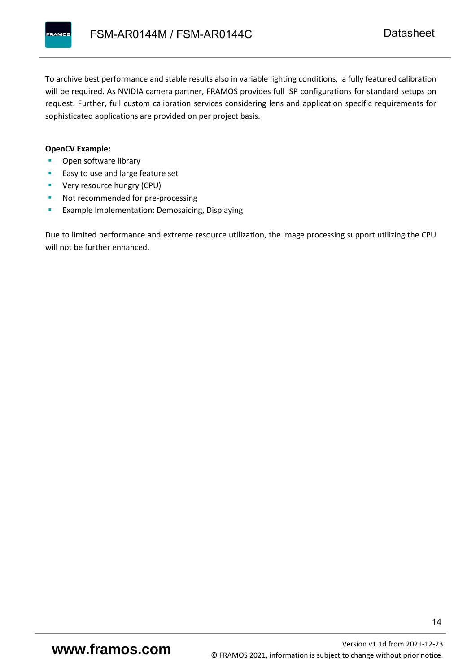

To archive best performance and stable results also in variable lighting conditions, a fully featured calibration will be required. As NVIDIA camera partner, FRAMOS provides full ISP configurations for standard setups on request. Further, full custom calibration services considering lens and application specific requirements for sophisticated applications are provided on per project basis.

#### **OpenCV Example:**

- Open software library
- Easy to use and large feature set
- **•** Very resource hungry (CPU)
- Not recommended for pre-processing
- **Example Implementation: Demosaicing, Displaying**

Due to limited performance and extreme resource utilization, the image processing support utilizing the CPU will not be further enhanced.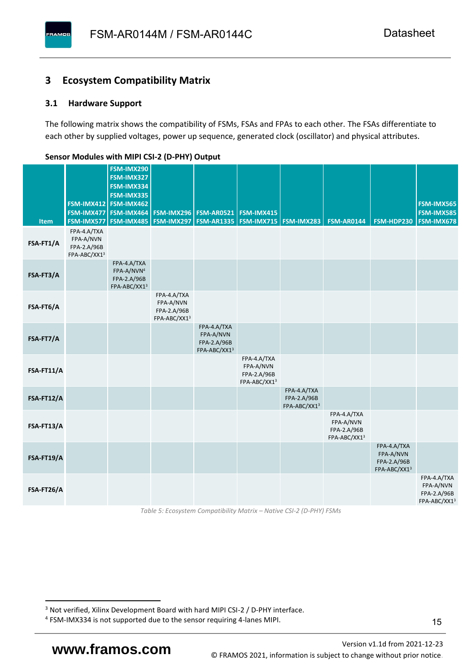#### <span id="page-16-0"></span>**3 Ecosystem Compatibility Matrix**

#### <span id="page-16-1"></span>**3.1 Hardware Support**

**PAMOS** 

The following matrix shows the compatibility of FSMs, FSAs and FPAs to each other. The FSAs differentiate to each other by supplied voltages, power up sequence, generated clock (oscillator) and physical attributes.

|            |                                                         | FSM-IMX290<br>FSM-IMX327                                             |                                                         |                                                                  |                                                         |                                            |                                                         |                                                         |                                                         |
|------------|---------------------------------------------------------|----------------------------------------------------------------------|---------------------------------------------------------|------------------------------------------------------------------|---------------------------------------------------------|--------------------------------------------|---------------------------------------------------------|---------------------------------------------------------|---------------------------------------------------------|
|            |                                                         | FSM-IMX334<br>FSM-IMX335                                             |                                                         |                                                                  |                                                         |                                            |                                                         |                                                         |                                                         |
|            |                                                         | FSM-IMX412 FSM-IMX462                                                |                                                         |                                                                  |                                                         |                                            |                                                         |                                                         | <b>FSM-IMX565</b>                                       |
| Item       | FSM-IMX577                                              | FSM-IMX477 FSM-IMX464<br>FSM-IMX485                                  |                                                         | <b>FSM-IMX296 FSM-AR0521</b><br><b>FSM-IMX297   FSM-AR1335  </b> | <b>FSM-IMX415</b><br><b>FSM-IMX715   FSM-IMX283</b>     |                                            | <b>FSM-AR0144</b>                                       | FSM-HDP230                                              | <b>FSM-IMX585</b><br><b>FSM-IMX678</b>                  |
| FSA-FT1/A  | FPA-4.A/TXA<br>FPA-A/NVN<br>FPA-2.A/96B<br>FPA-ABC/XX13 |                                                                      |                                                         |                                                                  |                                                         |                                            |                                                         |                                                         |                                                         |
| FSA-FT3/A  |                                                         | FPA-4.A/TXA<br>FPA-A/NVN <sup>4</sup><br>FPA-2.A/96B<br>FPA-ABC/XX13 |                                                         |                                                                  |                                                         |                                            |                                                         |                                                         |                                                         |
| FSA-FT6/A  |                                                         |                                                                      | FPA-4.A/TXA<br>FPA-A/NVN<br>FPA-2.A/96B<br>FPA-ABC/XX13 |                                                                  |                                                         |                                            |                                                         |                                                         |                                                         |
| FSA-FT7/A  |                                                         |                                                                      |                                                         | FPA-4.A/TXA<br>FPA-A/NVN<br>FPA-2.A/96B<br>FPA-ABC/XX13          |                                                         |                                            |                                                         |                                                         |                                                         |
| FSA-FT11/A |                                                         |                                                                      |                                                         |                                                                  | FPA-4.A/TXA<br>FPA-A/NVN<br>FPA-2.A/96B<br>FPA-ABC/XX13 |                                            |                                                         |                                                         |                                                         |
| FSA-FT12/A |                                                         |                                                                      |                                                         |                                                                  |                                                         | FPA-4.A/TXA<br>FPA-2.A/96B<br>FPA-ABC/XX13 |                                                         |                                                         |                                                         |
| FSA-FT13/A |                                                         |                                                                      |                                                         |                                                                  |                                                         |                                            | FPA-4.A/TXA<br>FPA-A/NVN<br>FPA-2.A/96B<br>FPA-ABC/XX13 |                                                         |                                                         |
| FSA-FT19/A |                                                         |                                                                      |                                                         |                                                                  |                                                         |                                            |                                                         | FPA-4.A/TXA<br>FPA-A/NVN<br>FPA-2.A/96B<br>FPA-ABC/XX13 |                                                         |
| FSA-FT26/A |                                                         |                                                                      |                                                         |                                                                  |                                                         |                                            |                                                         |                                                         | FPA-4.A/TXA<br>FPA-A/NVN<br>FPA-2.A/96B<br>FPA-ABC/XX13 |

#### <span id="page-16-2"></span>**Sensor Modules with MIPI CSI-2 (D-PHY) Output**

*Table 5: Ecosystem Compatibility Matrix – Native CSI-2 (D-PHY) FSMs*

<sup>&</sup>lt;sup>3</sup> Not verified, Xilinx Development Board with hard MIPI CSI-2 / D-PHY interface.

<sup>4</sup> FSM-IMX334 is not supported due to the sensor requiring 4-lanes MIPI.